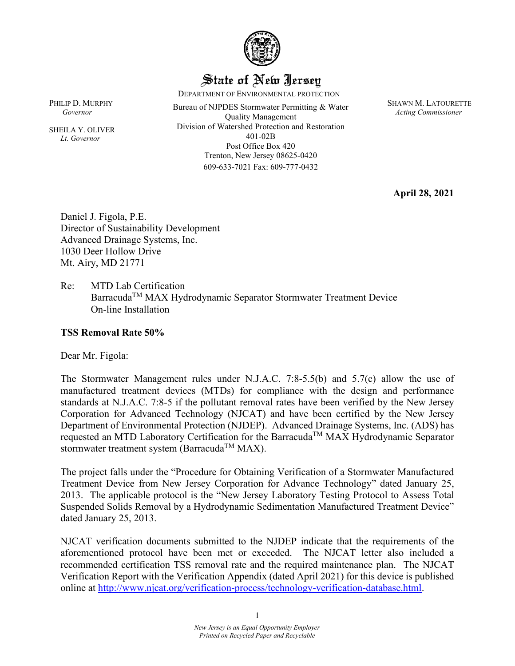

### State of New Jersey

DEPARTMENT OF ENVIRONMENTAL PROTECTION

PHILIP D. MURPHY<br> **Bureau of NJPDES Stormwater Permitting & Water** Quality Management Division of Watershed Protection and Restoration 401-02B Post Office Box 420 Trenton, New Jersey 08625-0420 609-633-7021 Fax: 609-777-0432

SHAWN M. LATOURETTE *Acting Commissioner* 

**April 28, 2021** 

Daniel J. Figola, P.E. Director of Sustainability Development Advanced Drainage Systems, Inc. 1030 Deer Hollow Drive Mt. Airy, MD 21771

Re: MTD Lab Certification Barracuda<sup>TM</sup> MAX Hydrodynamic Separator Stormwater Treatment Device On-line Installation

#### **TSS Removal Rate 50%**

Dear Mr. Figola:

The Stormwater Management rules under N.J.A.C. 7:8-5.5(b) and 5.7(c) allow the use of manufactured treatment devices (MTDs) for compliance with the design and performance standards at N.J.A.C. 7:8-5 if the pollutant removal rates have been verified by the New Jersey Corporation for Advanced Technology (NJCAT) and have been certified by the New Jersey Department of Environmental Protection (NJDEP). Advanced Drainage Systems, Inc. (ADS) has requested an MTD Laboratory Certification for the Barracuda<sup>TM</sup> MAX Hydrodynamic Separator stormwater treatment system (Barracuda<sup>TM</sup> MAX).

The project falls under the "Procedure for Obtaining Verification of a Stormwater Manufactured Treatment Device from New Jersey Corporation for Advance Technology" dated January 25, 2013. The applicable protocol is the "New Jersey Laboratory Testing Protocol to Assess Total Suspended Solids Removal by a Hydrodynamic Sedimentation Manufactured Treatment Device" dated January 25, 2013.

NJCAT verification documents submitted to the NJDEP indicate that the requirements of the aforementioned protocol have been met or exceeded. The NJCAT letter also included a recommended certification TSS removal rate and the required maintenance plan. The NJCAT Verification Report with the Verification Appendix (dated April 2021) for this device is published online at [http://www.njcat.org/verification-process/technology-verification-database.html.](http://njcat.org/verification-process/technology-verification-database.html)

*Governor* 

SHEILA Y. OLIVER  *Lt. Governor*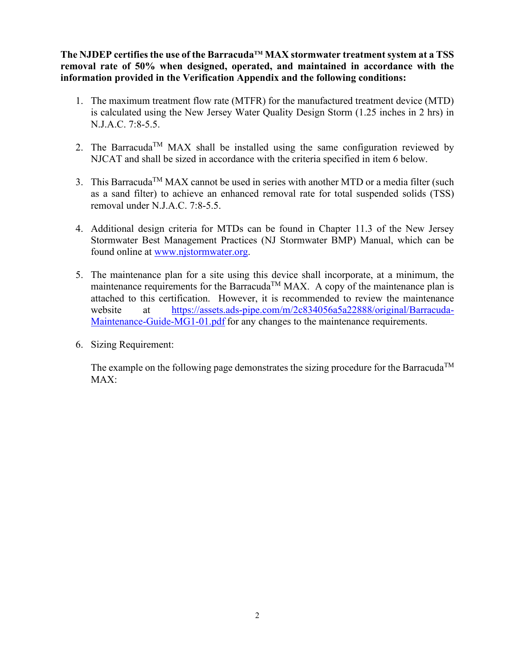**The NJDEP certifies the use of the BarracudaTM MAX stormwater treatment system at a TSS removal rate of 50% when designed, operated, and maintained in accordance with the information provided in the Verification Appendix and the following conditions:**

- 1. The maximum treatment flow rate (MTFR) for the manufactured treatment device (MTD) is calculated using the New Jersey Water Quality Design Storm (1.25 inches in 2 hrs) in N.J.A.C. 7:8-5.5.
- 2. The Barracuda<sup>TM</sup> MAX shall be installed using the same configuration reviewed by NJCAT and shall be sized in accordance with the criteria specified in item 6 below.
- 3. This Barracuda<sup>TM</sup> MAX cannot be used in series with another MTD or a media filter (such as a sand filter) to achieve an enhanced removal rate for total suspended solids (TSS) removal under N.J.A.C. 7:8-5.5.
- 4. Additional design criteria for MTDs can be found in Chapter 11.3 of the New Jersey Stormwater Best Management Practices (NJ Stormwater BMP) Manual, which can be found online at [www.njstormwater.org.](https://www.njstormwater.org/)
- 5. The maintenance plan for a site using this device shall incorporate, at a minimum, the maintenance requirements for the Barracuda<sup>TM</sup> MAX. A copy of the maintenance plan is attached to this certification. However, it is recommended to review the maintenance website at [https://assets.ads-pipe.com/m/2c834056a5a22888/original/Barracuda-](https://assets.ads-pipe.com/m/2c834056a5a22888/original/Barracuda-Maintenance-Guide-MG1-01.pdf)[Maintenance-Guide-MG1-01.pdf](https://assets.ads-pipe.com/m/2c834056a5a22888/original/Barracuda-Maintenance-Guide-MG1-01.pdf) for any changes to the maintenance requirements.
- 6. Sizing Requirement:

The example on the following page demonstrates the sizing procedure for the Barracuda<sup>TM</sup> MAX: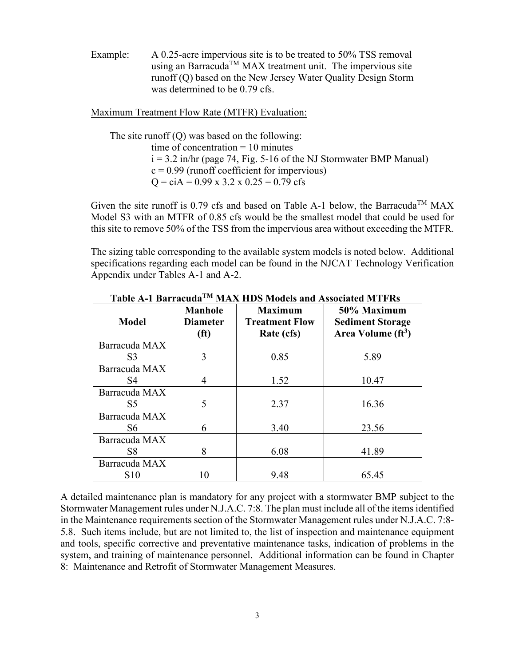Example: A 0.25-acre impervious site is to be treated to 50% TSS removal using an Barracuda<sup>TM</sup> MAX treatment unit. The impervious site runoff (Q) based on the New Jersey Water Quality Design Storm was determined to be 0.79 cfs.

Maximum Treatment Flow Rate (MTFR) Evaluation:

The site runoff (Q) was based on the following: time of concentration  $= 10$  minutes  $i = 3.2$  in/hr (page 74, Fig. 5-16 of the NJ Stormwater BMP Manual)  $c = 0.99$  (runoff coefficient for impervious)  $Q = c\text{i}A = 0.99 \text{ x } 3.2 \text{ x } 0.25 = 0.79 \text{ cfs}$ 

Given the site runoff is 0.79 cfs and based on Table A-1 below, the Barracuda<sup>TM</sup> MAX Model S3 with an MTFR of 0.85 cfs would be the smallest model that could be used for this site to remove 50% of the TSS from the impervious area without exceeding the MTFR.

The sizing table corresponding to the available system models is noted below. Additional specifications regarding each model can be found in the NJCAT Technology Verification Appendix under Tables A-1 and A-2.

|                | <b>Manhole</b>                       | <b>Maximum</b>                      | 50% Maximum                                               |
|----------------|--------------------------------------|-------------------------------------|-----------------------------------------------------------|
| <b>Model</b>   | <b>Diameter</b><br>(f <sup>t</sup> ) | <b>Treatment Flow</b><br>Rate (cfs) | <b>Sediment Storage</b><br>Area Volume (ft <sup>3</sup> ) |
| Barracuda MAX  |                                      |                                     |                                                           |
| S <sub>3</sub> | 3                                    | 0.85                                | 5.89                                                      |
| Barracuda MAX  |                                      |                                     |                                                           |
| S <sub>4</sub> | 4                                    | 1.52                                | 10.47                                                     |
| Barracuda MAX  |                                      |                                     |                                                           |
| S <sub>5</sub> | 5                                    | 2.37                                | 16.36                                                     |
| Barracuda MAX  |                                      |                                     |                                                           |
| S6             | 6                                    | 3.40                                | 23.56                                                     |
| Barracuda MAX  |                                      |                                     |                                                           |
| S <sub>8</sub> | 8                                    | 6.08                                | 41.89                                                     |
| Barracuda MAX  |                                      |                                     |                                                           |
| S10            | 10                                   | 9.48                                | 65.45                                                     |

**Table A-1 BarracudaTM MAX HDS Models and Associated MTFRs**

A detailed maintenance plan is mandatory for any project with a stormwater BMP subject to the Stormwater Management rules under N.J.A.C. 7:8. The plan must include all of the items identified in the Maintenance requirements section of the Stormwater Management rules under N.J.A.C. 7:8- 5.8. Such items include, but are not limited to, the list of inspection and maintenance equipment and tools, specific corrective and preventative maintenance tasks, indication of problems in the system, and training of maintenance personnel. Additional information can be found in Chapter 8: Maintenance and Retrofit of Stormwater Management Measures.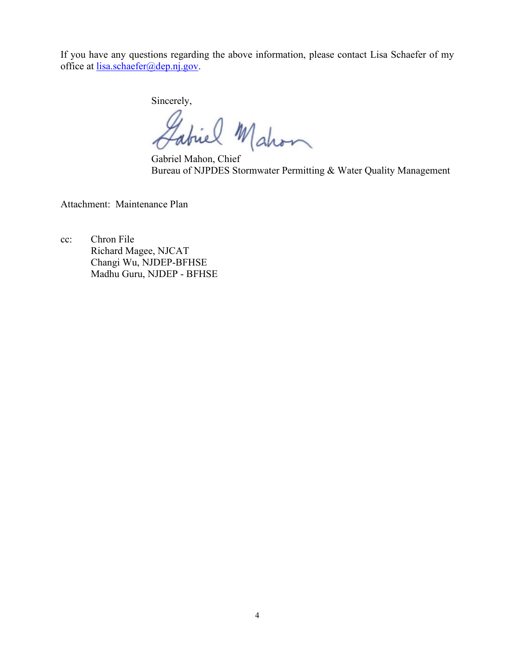If you have any questions regarding the above information, please contact Lisa Schaefer of my office at lisa.schaefer@dep.nj.gov.

Sincerely,

abiel Mahon

Gabriel Mahon, Chief Bureau of NJPDES Stormwater Permitting & Water Quality Management

Attachment: Maintenance Plan

cc: Chron File Richard Magee, NJCAT Changi Wu, NJDEP-BFHSE Madhu Guru, NJDEP - BFHSE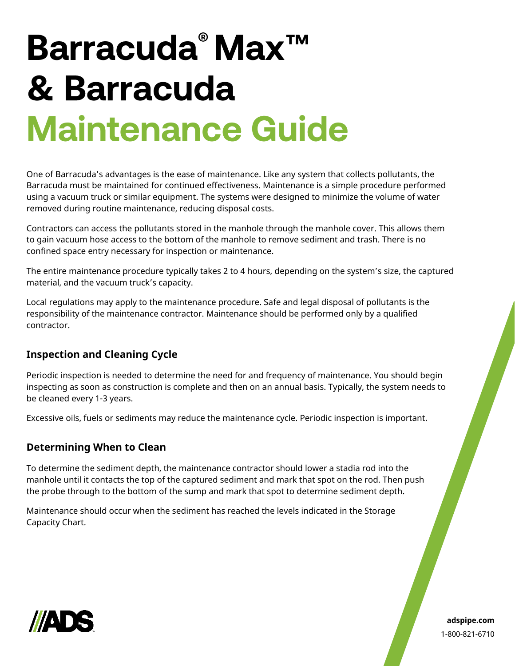# Barracuda® Max™ & Barracuda **Maintenance Guide**

One of Barracuda's advantages is the ease of maintenance. Like any system that collects pollutants, the Barracuda must be maintained for continued effectiveness. Maintenance is a simple procedure performed using a vacuum truck or similar equipment. The systems were designed to minimize the volume of water removed during routine maintenance, reducing disposal costs.

Contractors can access the pollutants stored in the manhole through the manhole cover. This allows them to gain vacuum hose access to the bottom of the manhole to remove sediment and trash. There is no confined space entry necessary for inspection or maintenance.

The entire maintenance procedure typically takes 2 to 4 hours, depending on the system's size, the captured material, and the vacuum truck's capacity.

Local regulations may apply to the maintenance procedure. Safe and legal disposal of pollutants is the responsibility of the maintenance contractor. Maintenance should be performed only by a qualified contractor.

#### **Inspection and Cleaning Cycle**

Periodic inspection is needed to determine the need for and frequency of maintenance. You should begin inspecting as soon as construction is complete and then on an annual basis. Typically, the system needs to be cleaned every 1-3 years.

Excessive oils, fuels or sediments may reduce the maintenance cycle. Periodic inspection is important.

#### **Determining When to Clean**

To determine the sediment depth, the maintenance contractor should lower a stadia rod into the manhole until it contacts the top of the captured sediment and mark that spot on the rod. Then push the probe through to the bottom of the sump and mark that spot to determine sediment depth.

Maintenance should occur when the sediment has reached the levels indicated in the Storage Capacity Chart.



**adspipe.com** 1-800-821-6710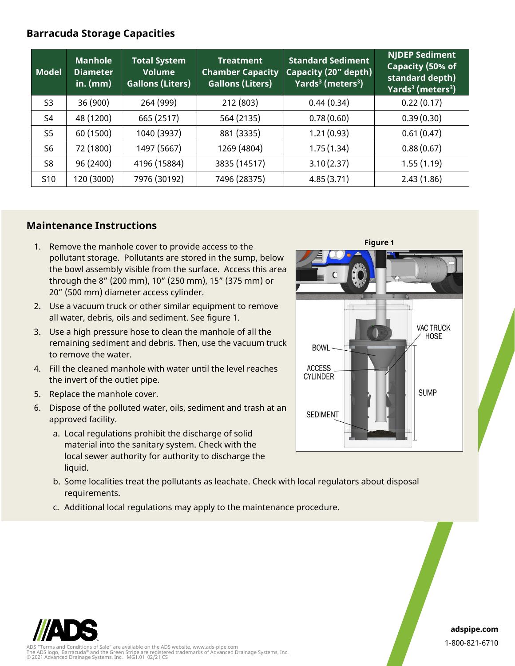#### **Barracuda Storage Capacities**

| <b>Model</b>    | <b>Manhole</b><br><b>Diameter</b><br>in. $(mm)$ | <b>Total System</b><br><b>Volume</b><br><b>Gallons (Liters)</b> | <b>Treatment</b><br><b>Chamber Capacity</b><br><b>Gallons (Liters)</b> | <b>Standard Sediment</b><br>Capacity (20" depth)<br>Yards <sup>3</sup> (meters <sup>3</sup> ) | <b>NJDEP Sediment</b><br>Capacity (50% of<br>standard depth)<br>Yards <sup>3</sup> (meters <sup>3</sup> ) |
|-----------------|-------------------------------------------------|-----------------------------------------------------------------|------------------------------------------------------------------------|-----------------------------------------------------------------------------------------------|-----------------------------------------------------------------------------------------------------------|
| S <sub>3</sub>  | 36 (900)                                        | 264 (999)                                                       | 212 (803)                                                              | 0.44(0.34)                                                                                    | 0.22(0.17)                                                                                                |
| S <sub>4</sub>  | 48 (1200)                                       | 665 (2517)                                                      | 564 (2135)                                                             | 0.78(0.60)                                                                                    | 0.39(0.30)                                                                                                |
| S <sub>5</sub>  | 60 (1500)                                       | 1040 (3937)                                                     | 881 (3335)                                                             | 1.21(0.93)                                                                                    | 0.61(0.47)                                                                                                |
| S6              | 72 (1800)                                       | 1497 (5667)                                                     | 1269 (4804)                                                            | 1.75(1.34)                                                                                    | 0.88(0.67)                                                                                                |
| S8              | 96 (2400)                                       | 4196 (15884)                                                    | 3835 (14517)                                                           | 3.10(2.37)                                                                                    | 1.55(1.19)                                                                                                |
| S <sub>10</sub> | 120 (3000)                                      | 7976 (30192)                                                    | 7496 (28375)                                                           | 4.85(3.71)                                                                                    | 2.43(1.86)                                                                                                |

#### **Maintenance Instructions**

- 1. Remove the manhole cover to provide access to the pollutant storage. Pollutants are stored in the sump, below the bowl assembly visible from the surface. Access this area through the 8" (200 mm), 10" (250 mm), 15" (375 mm) or 20" (500 mm) diameter access cylinder.
- 2. Use a vacuum truck or other similar equipment to remove all water, debris, oils and sediment. See figure 1.
- 3. Use a high pressure hose to clean the manhole of all the remaining sediment and debris. Then, use the vacuum truck to remove the water.
- 4. Fill the cleaned manhole with water until the level reaches the invert of the outlet pipe.
- 5. Replace the manhole cover.
- 6. Dispose of the polluted water, oils, sediment and trash at an approved facility.
	- a. Local regulations prohibit the discharge of solid material into the sanitary system. Check with the local sewer authority for authority to discharge the liquid.
	- b. Some localities treat the pollutants as leachate. Check with local regulators about disposal requirements.
	- c. Additional local regulations may apply to the maintenance procedure.





**adspipe.com** 1-800-821-6710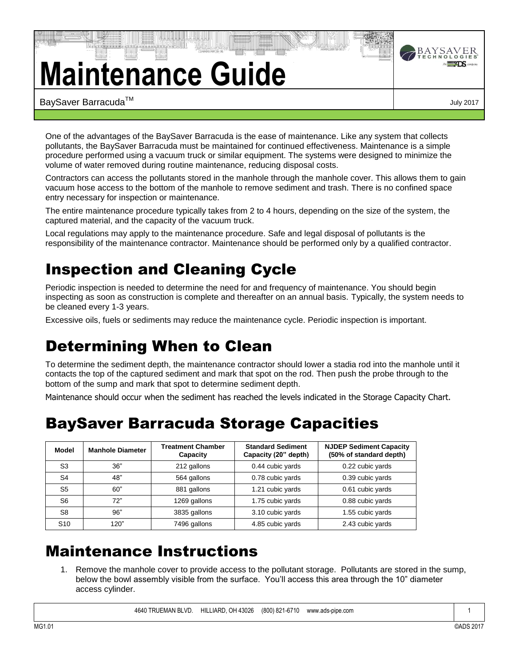## **Maintenance Guide**



One of the advantages of the BaySaver Barracuda is the ease of maintenance. Like any system that collects pollutants, the BaySaver Barracuda must be maintained for continued effectiveness. Maintenance is a simple procedure performed using a vacuum truck or similar equipment. The systems were designed to minimize the volume of water removed during routine maintenance, reducing disposal costs.

Contractors can access the pollutants stored in the manhole through the manhole cover. This allows them to gain vacuum hose access to the bottom of the manhole to remove sediment and trash. There is no confined space entry necessary for inspection or maintenance.

The entire maintenance procedure typically takes from 2 to 4 hours, depending on the size of the system, the captured material, and the capacity of the vacuum truck.

Local regulations may apply to the maintenance procedure. Safe and legal disposal of pollutants is the responsibility of the maintenance contractor. Maintenance should be performed only by a qualified contractor.

## Inspection and Cleaning Cycle

Periodic inspection is needed to determine the need for and frequency of maintenance. You should begin inspecting as soon as construction is complete and thereafter on an annual basis. Typically, the system needs to be cleaned every 1-3 years.

Excessive oils, fuels or sediments may reduce the maintenance cycle. Periodic inspection is important.

## Determining When to Clean

To determine the sediment depth, the maintenance contractor should lower a stadia rod into the manhole until it contacts the top of the captured sediment and mark that spot on the rod. Then push the probe through to the bottom of the sump and mark that spot to determine sediment depth.

Maintenance should occur when the sediment has reached the levels indicated in the Storage Capacity Chart.

## BaySaver Barracuda Storage Capacities

| Model           | <b>Manhole Diameter</b> | <b>Treatment Chamber</b><br>Capacity | <b>Standard Sediment</b><br>Capacity (20" depth) | <b>NJDEP Sediment Capacity</b><br>(50% of standard depth) |
|-----------------|-------------------------|--------------------------------------|--------------------------------------------------|-----------------------------------------------------------|
| S <sub>3</sub>  | 36"                     | 212 gallons                          | 0.44 cubic yards                                 | 0.22 cubic yards                                          |
| S4              | 48"                     | 564 gallons                          | 0.78 cubic yards                                 | 0.39 cubic yards                                          |
| S5              | 60"                     | 881 gallons                          | 1.21 cubic yards                                 | 0.61 cubic yards                                          |
| S6              | 72"                     | 1269 gallons                         | 1.75 cubic yards                                 | 0.88 cubic yards                                          |
| S8              | 96"                     | 3835 gallons                         | 3.10 cubic yards                                 | 1.55 cubic yards                                          |
| S <sub>10</sub> | 120"                    | 7496 gallons                         | 4.85 cubic yards                                 | 2.43 cubic yards                                          |

## Maintenance Instructions

1. Remove the manhole cover to provide access to the pollutant storage. Pollutants are stored in the sump, below the bowl assembly visible from the surface. You'll access this area through the 10" diameter access cylinder.